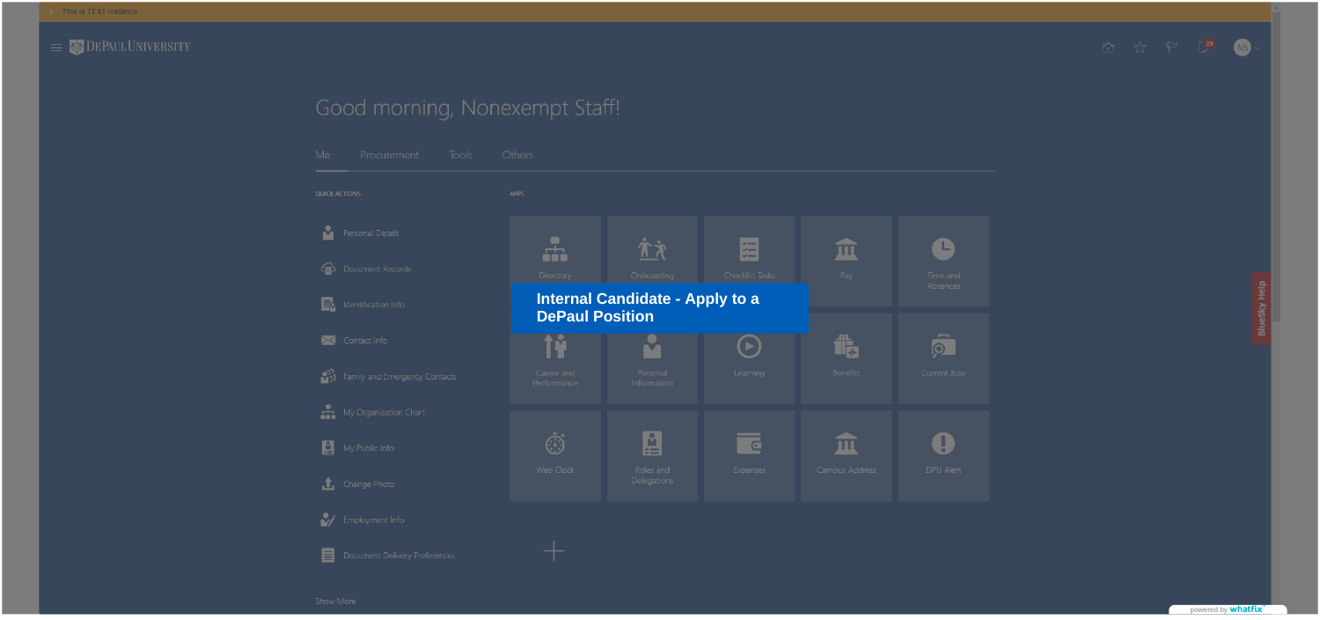

# Good morning, Nonexempt Staff!

| Me.                       | Procurement                   | <b>Tools</b> | Others                                    |
|---------------------------|-------------------------------|--------------|-------------------------------------------|
| <b>QUICK ACTIONS</b>      |                               |              | <b>APPS</b>                               |
|                           | Personal Details              |              |                                           |
|                           | Document Records              |              | Directory                                 |
| E.                        | Identification Info           |              | <b>Internal Can</b><br><b>DePaul Posi</b> |
|                           | Contact Info                  |              |                                           |
|                           | Family and Emergency Contacts |              | Career and<br>Performance                 |
|                           | My Organization Chart         |              |                                           |
| $\boldsymbol{\mathsf{E}}$ | My Public Info                |              |                                           |
|                           | Change Photo                  |              | Web Clock                                 |
|                           | Employment Info               |              |                                           |
| ▤                         | Document Delivery Preferences |              |                                           |





powered by **whatfix** 

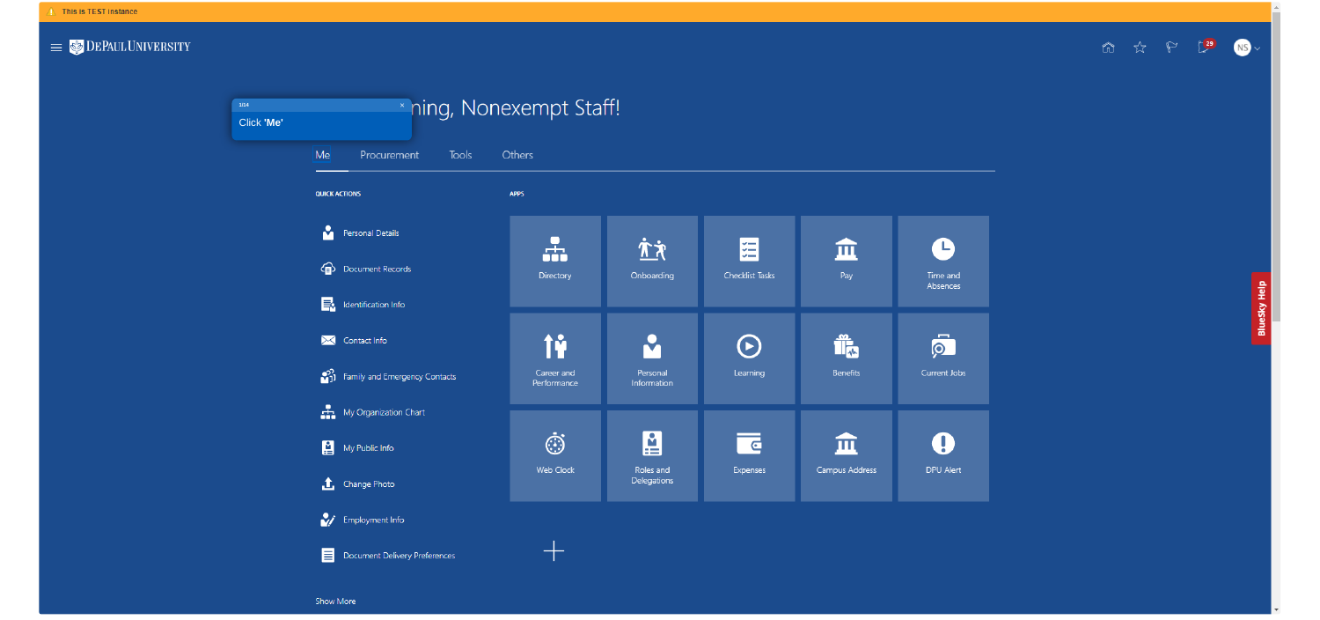

#### \* ning, Nonexempt Staff! **1/14**Click **'Me'**  $|Me|$ Procurement Tools Others **QUICK ACTIONS APPS** Personal Details  $\frac{1}{2}$ **Configuration** Document Records Directory  $\mathbf{E}$  Identification Info 撞 M Contact Info <sup>22</sup>1 Family and Emergency Contacts Career and Performance  $\begin{array}{cc} \begin{array}{cc} \blacksquare \\ \blacksquare & \blacksquare \end{array} \end{array}$  My Organization Chart  $\ddot{\odot}$ My Public Info Web Clock  $\bullet$  Change Photo Employment Info  $\pm$ Document Delivery Preferences **Show More**



广文 囧 血  $\mathbf \Theta$ Checklist Tasks Onboarding Pay Time and Absences  $\overline{\mathsf{S}}$ M Î,  $\bm{\Theta}$ Benefits Learning Current Jobs Personal Information 图 <u>ल</u> 血  $\mathbf 0$ Campus Address DPU Alert Roles and Expenses Delegations

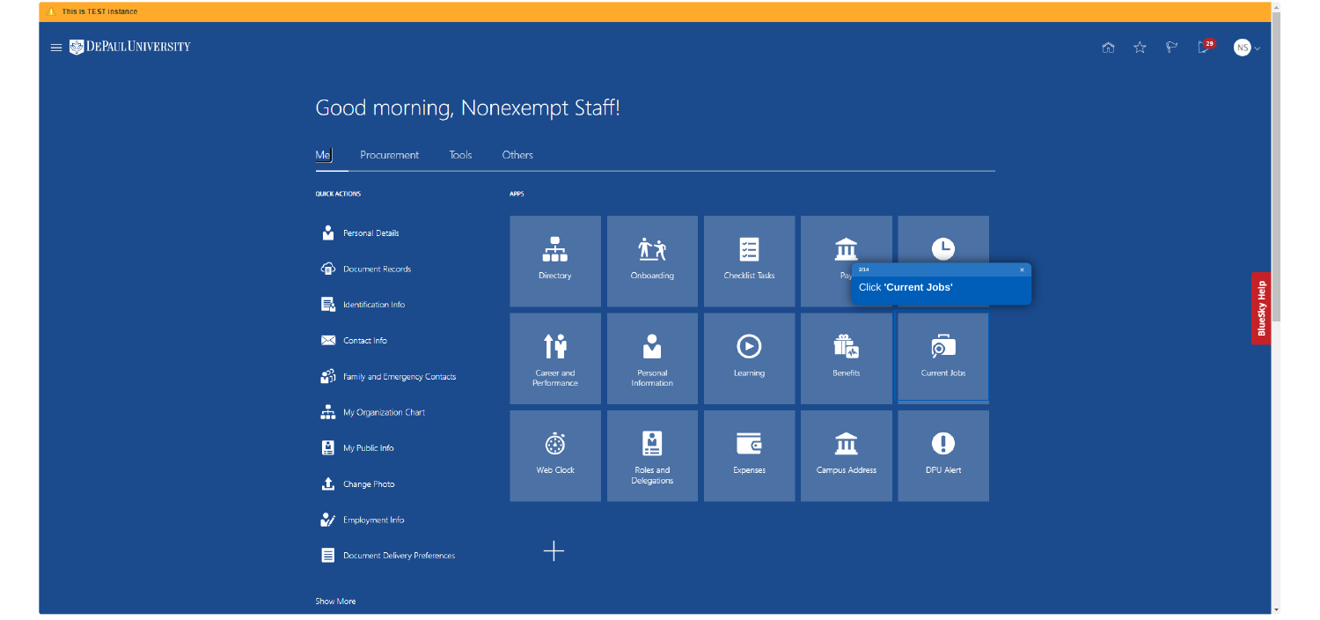

# Good morning, Nonexempt Staff!

| Me     | Procurement Tools Others      |                           |  |
|--------|-------------------------------|---------------------------|--|
|        | <b>QUICK ACTIONS</b>          | <b>APPS</b>               |  |
|        | Personal Details              |                           |  |
| 虛      | Document Records              | <b>Directory</b>          |  |
| E.     | Identification Info           |                           |  |
| ⋈      | Contact Info                  | ÎŶ                        |  |
| .e%    | Family and Emergency Contacts | Career and<br>Performance |  |
|        | My Organization Chart         |                           |  |
| ÷<br>⊞ | My Public Info                | œ                         |  |
|        | <b>1</b> Change Photo         | <b>Web Clock</b>          |  |
|        | Employment Info               |                           |  |
|        | Document Delivery Preferences |                           |  |
|        |                               |                           |  |

Show More



广文 囧  $\bullet$ 血 **2/14**Onboarding Checklist Tasks Pay Click **'Current Jobs'**  $\overline{\mathsf{S}}$ Î. M  $\odot$ Learning Benefits Current Jobs Personal Information 图  $\mathbf 0$ <u>ल्</u> 血 Campus Address DPU Alert Roles and Expenses Delegations

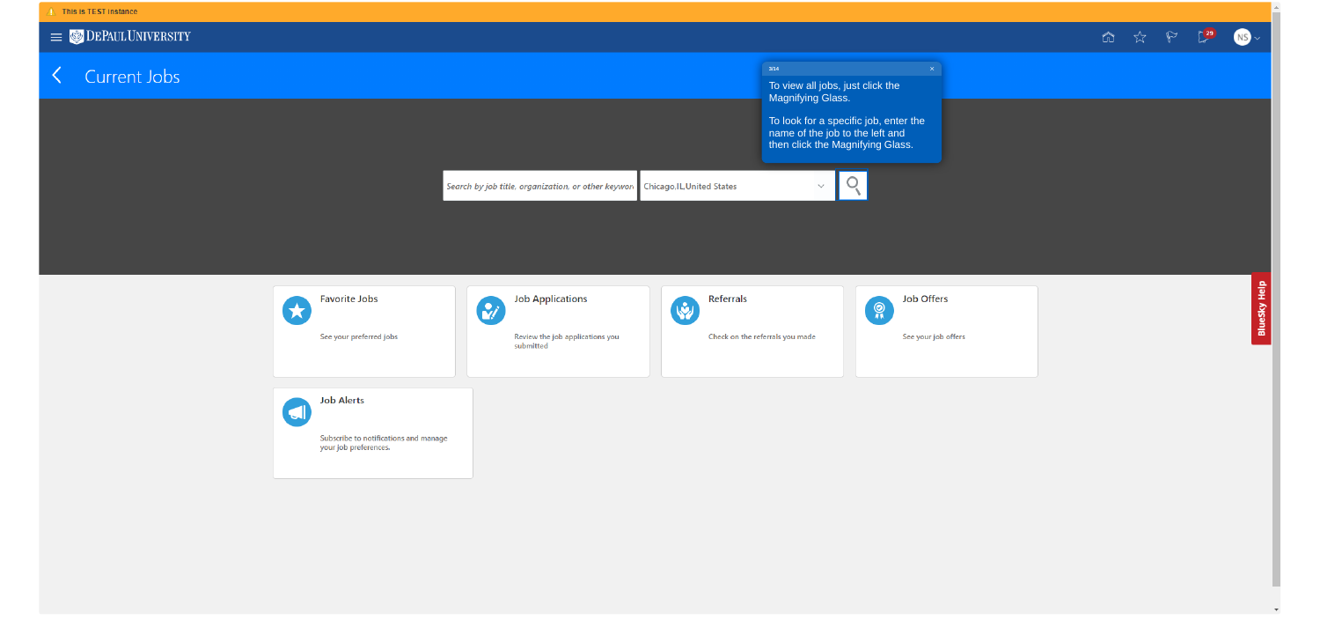

## < Current Jobs









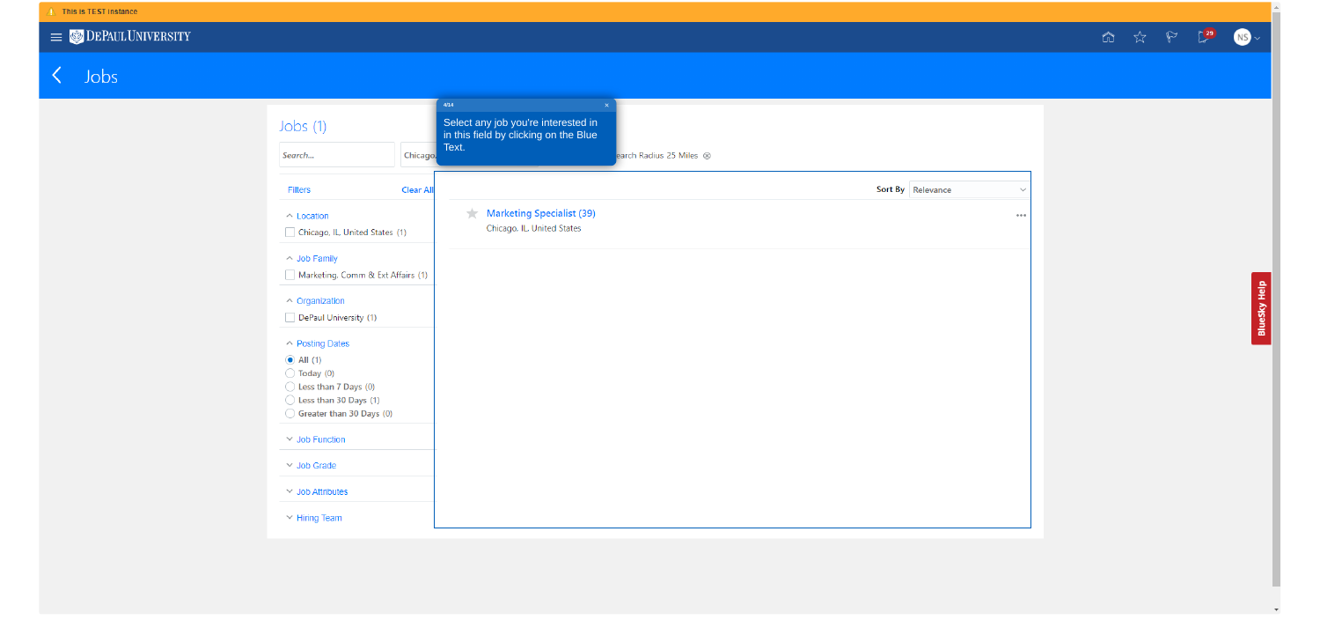

# $\left\langle \quad$  Jobs

| Jobs $(1)$                                                                                      |                  | 4/14<br>Select any job you're interested in<br>in this field by clicking on the Blue |                         |                                 |
|-------------------------------------------------------------------------------------------------|------------------|--------------------------------------------------------------------------------------|-------------------------|---------------------------------|
| Search                                                                                          | Chicago,         | Text.                                                                                | earch Radius 25 Miles 8 |                                 |
| <b>Filters</b>                                                                                  | <b>Clear All</b> |                                                                                      |                         | Sort By Relevance<br>$\searrow$ |
| $\land$ Location<br>Chicago, IL, United States (1)                                              |                  | <b>Marketing Specialist (39)</b><br>★<br>Chicago, IL, United States                  |                         | 0.0.0                           |
| △ Job Family<br>Marketing, Comm & Ext Affairs (1)                                               |                  |                                                                                      |                         |                                 |
| △ Organization<br>DePaul University (1)                                                         |                  |                                                                                      |                         |                                 |
| ← Posting Dates<br>$\odot$ All (1)<br>$\bigcirc$ Today (0)                                      |                  |                                                                                      |                         |                                 |
| $\bigcirc$ Less than 7 Days (0)<br>$\bigcirc$ Less than 30 Days (1)<br>Greater than 30 Days (0) |                  |                                                                                      |                         |                                 |
| $\vee$ Job Function                                                                             |                  |                                                                                      |                         |                                 |
| $\vee$ Job Grade                                                                                |                  |                                                                                      |                         |                                 |
| $\vee$ Job Attributes                                                                           |                  |                                                                                      |                         |                                 |
| $\vee$ Hiring Team                                                                              |                  |                                                                                      |                         |                                 |





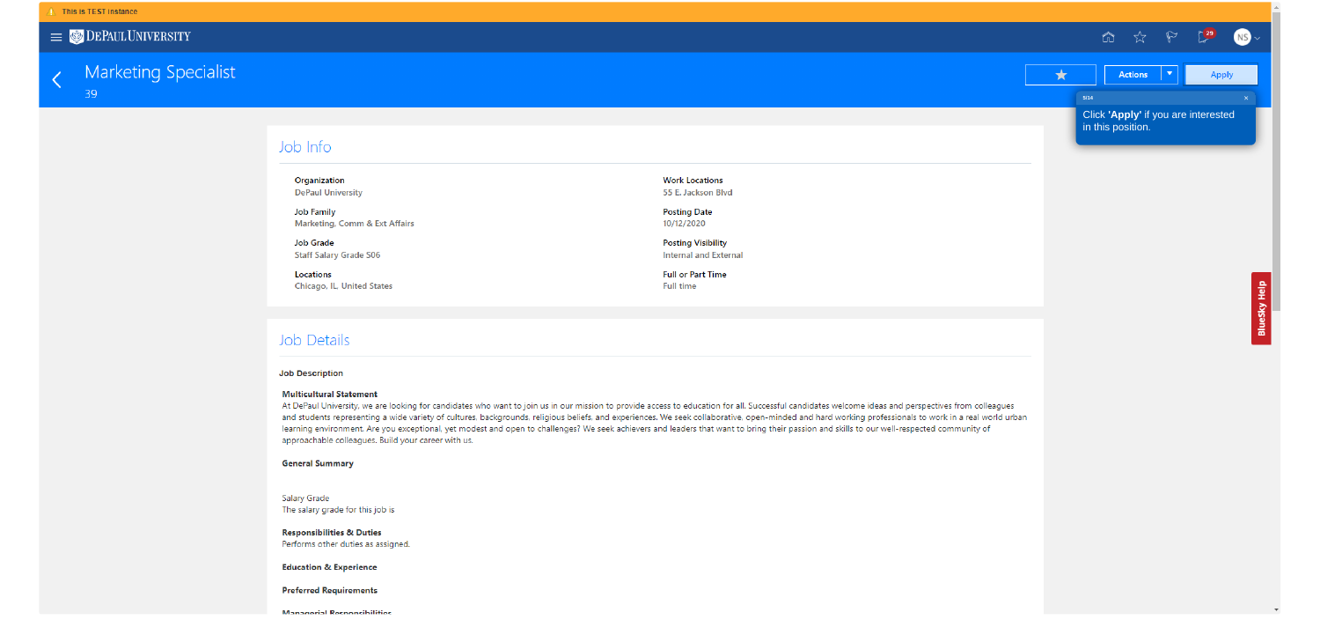

#### **Marketing Specialist** 39

#### Job Info

Organization **DePaul University** 

**Job Family** Marketing, Comm & Ext Affairs

Job Grade **Staff Salary Grade S06** 

Locations **Chicago, IL, United States** 

#### **Job Details**

#### **Job Description**

#### **Multicultural Statement**

At DePaul University, we are looking for candidates who want to join us in our mission to provide access to education for all. Successful candidates welcome ideas and perspectives from colleagues and students representing a wide variety of cultures, backgrounds, religious beliefs, and experiences. We seek collaborative, open-minded and hard working professionals to work in a real world urban learning environment. Are you exceptional, yet modest and open to challenges? We seek achievers and leaders that want to bring their passion and skills to our well-respected community of approachable colleagues. Build your career with us.

#### **General Summary**

Salary Grade The salary grade for this job is

**Responsibilities & Duties** Performs other duties as assigned.

**Education & Experience** 

**Preferred Requirements** 

**Managerial Responsibilities** 



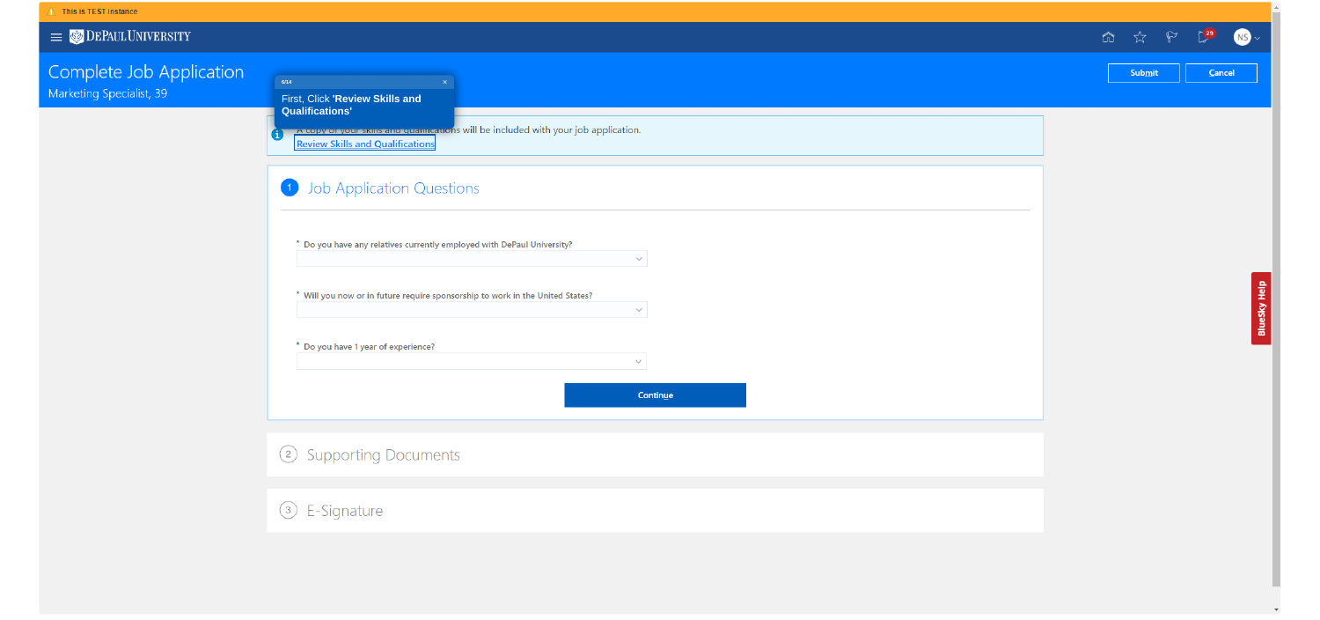### $\equiv$   $\bullet$  DEPAULUNIVERSITY

# Complete Job Application

Marketing Specialist, 39

 $\begin{array}{c}\n6/14\n\end{array}$ First, Click 'Review Skills and **Qualifications'** 

A copy or your skins and quantications will be included with your job applicat **Review Skills and Qualifications** 

## Job Application Questions

\* Do you have any relatives currently employed with DePaul University?

\* Will you now or in future require sponsorship to work in the United States?

\* Do you have 1 year of experience?

2 Supporting Documents

|              |  |                                | 命 ☆ P 【29 【 |  |
|--------------|--|--------------------------------|-------------|--|
|              |  | $\ensuremath{\mathsf{Submit}}$ | Cancel      |  |
|              |  |                                |             |  |
| tion.        |  |                                |             |  |
|              |  |                                |             |  |
|              |  |                                |             |  |
|              |  |                                |             |  |
|              |  |                                |             |  |
| $\checkmark$ |  |                                |             |  |
|              |  |                                |             |  |
| $\checkmark$ |  |                                |             |  |
|              |  |                                |             |  |
| $\checkmark$ |  |                                |             |  |
| Continue     |  |                                |             |  |
|              |  |                                |             |  |
|              |  |                                |             |  |
|              |  |                                |             |  |
|              |  |                                |             |  |
|              |  |                                |             |  |
|              |  |                                |             |  |

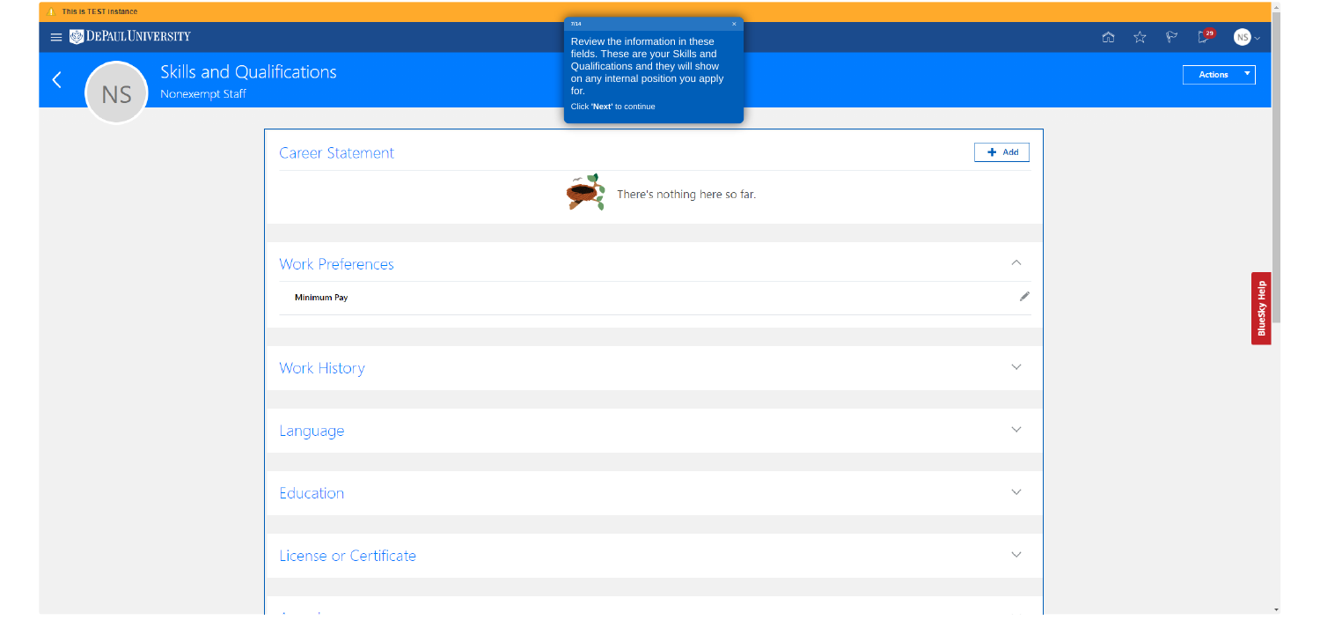| $7/14$                                                               | $\propto$ |              | $\hat{\Omega}$ | ☆ | $\mathbb{P}$ | $\sum$ <sup>29</sup> |  |
|----------------------------------------------------------------------|-----------|--------------|----------------|---|--------------|----------------------|--|
| Review the information in these<br>fields. These are your Skills and |           |              |                |   |              |                      |  |
| Qualifications and they will show                                    |           |              |                |   |              | <b>Actions</b>       |  |
| on any internal position you apply<br>for.                           |           |              |                |   |              |                      |  |
| Click 'Next' to continue                                             |           |              |                |   |              |                      |  |
|                                                                      |           |              |                |   |              |                      |  |
|                                                                      |           | $+$ Add      |                |   |              |                      |  |
| $\leq$                                                               |           |              |                |   |              |                      |  |
| There's nothing here so far.                                         |           |              |                |   |              |                      |  |
|                                                                      |           |              |                |   |              |                      |  |
|                                                                      |           |              |                |   |              |                      |  |
|                                                                      |           | $\land$      |                |   |              |                      |  |
|                                                                      |           | <b>A</b>     |                |   |              |                      |  |
|                                                                      |           |              |                |   |              |                      |  |
|                                                                      |           |              |                |   |              |                      |  |
|                                                                      |           | $\checkmark$ |                |   |              |                      |  |
|                                                                      |           |              |                |   |              |                      |  |
|                                                                      |           |              |                |   |              |                      |  |
|                                                                      |           | $\checkmark$ |                |   |              |                      |  |
|                                                                      |           |              |                |   |              |                      |  |
|                                                                      |           |              |                |   |              |                      |  |
|                                                                      |           | $\checkmark$ |                |   |              |                      |  |
|                                                                      |           |              |                |   |              |                      |  |
|                                                                      |           |              |                |   |              |                      |  |
|                                                                      |           | $\checkmark$ |                |   |              |                      |  |
|                                                                      |           |              |                |   |              |                      |  |
|                                                                      |           |              |                |   |              |                      |  |
|                                                                      |           |              |                |   |              |                      |  |







Education

 $\mathbf{A}$  and  $\mathbf{A}$  and  $\mathbf{A}$ 

License or Certificate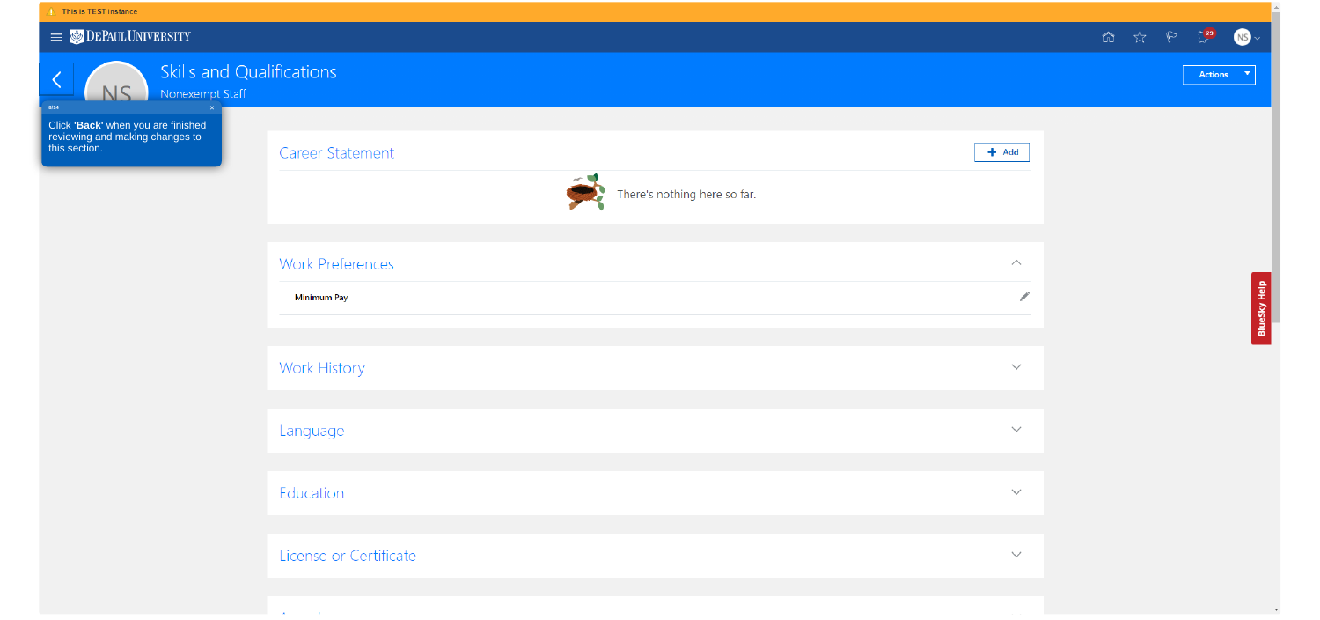#### $\hat{A}$  This is TEST instance

 $\equiv$   $\bullet$  DEPAULUNIVERSITY

NS\_

# Skills and Qualifications

Nonexempt Staff

 $8/14$ 

Click 'Back' when you are finished<br>reviewing and making changes to<br>this section.

#### **Career Statement**



#### **Work Preferences**

Minimum Pay

Work History

Language

Education

License or Certificate

 $\sim 10^{-1}$  M  $_{\odot}$  $\mathbf{A}$ 



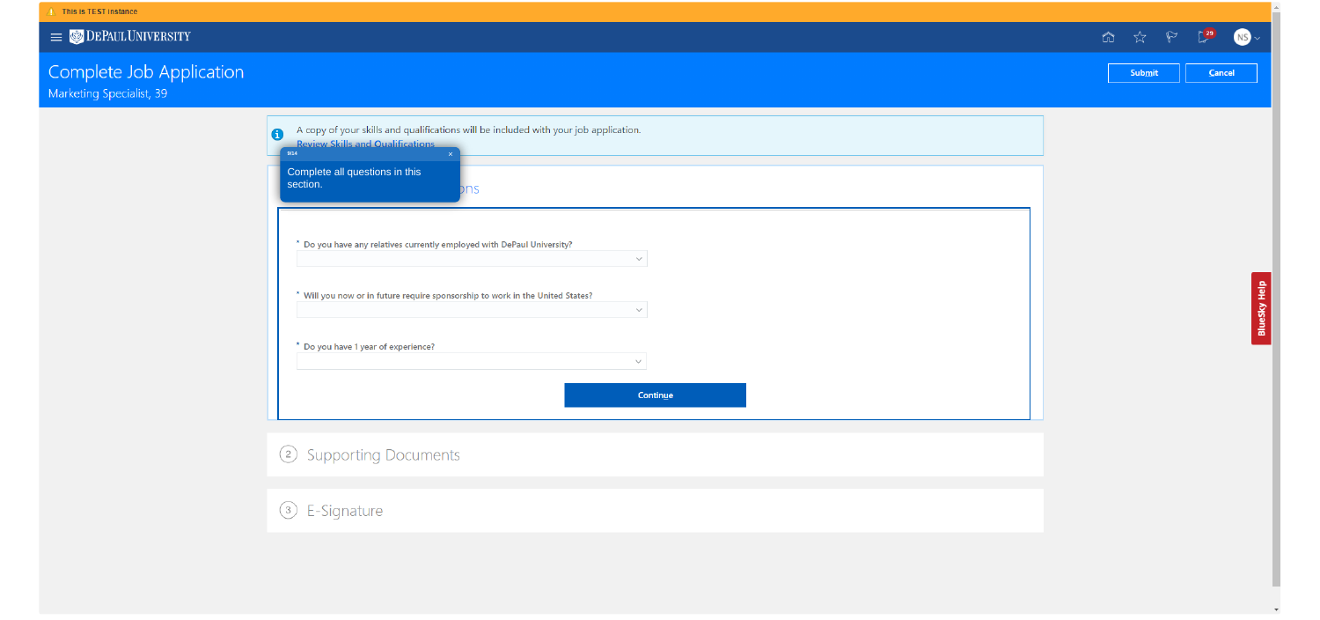

# Complete Job Application<br>Marketing Specialist, 39

|                                                                                                                                                                                                  | $\hat{\Omega}$<br>☆<br>⊾ |
|--------------------------------------------------------------------------------------------------------------------------------------------------------------------------------------------------|--------------------------|
|                                                                                                                                                                                                  | Cancel<br>Submit         |
| A copy of your skills and qualifications will be included with your job application.<br>0<br><b>Review Skills and Qualifications</b><br>9/14<br>Complete all questions in this<br>section.<br>ms |                          |
| * Do you have any relatives currently employed with DePaul University?<br>$\sim$<br>* Will you now or in future require sponsorship to work in the United States?<br>$\sim$                      |                          |
| * Do you have 1 year of experience?<br>$\checkmark$<br>Continue                                                                                                                                  |                          |
| 2 Supporting Documents                                                                                                                                                                           |                          |
| 3 E-Signature                                                                                                                                                                                    |                          |

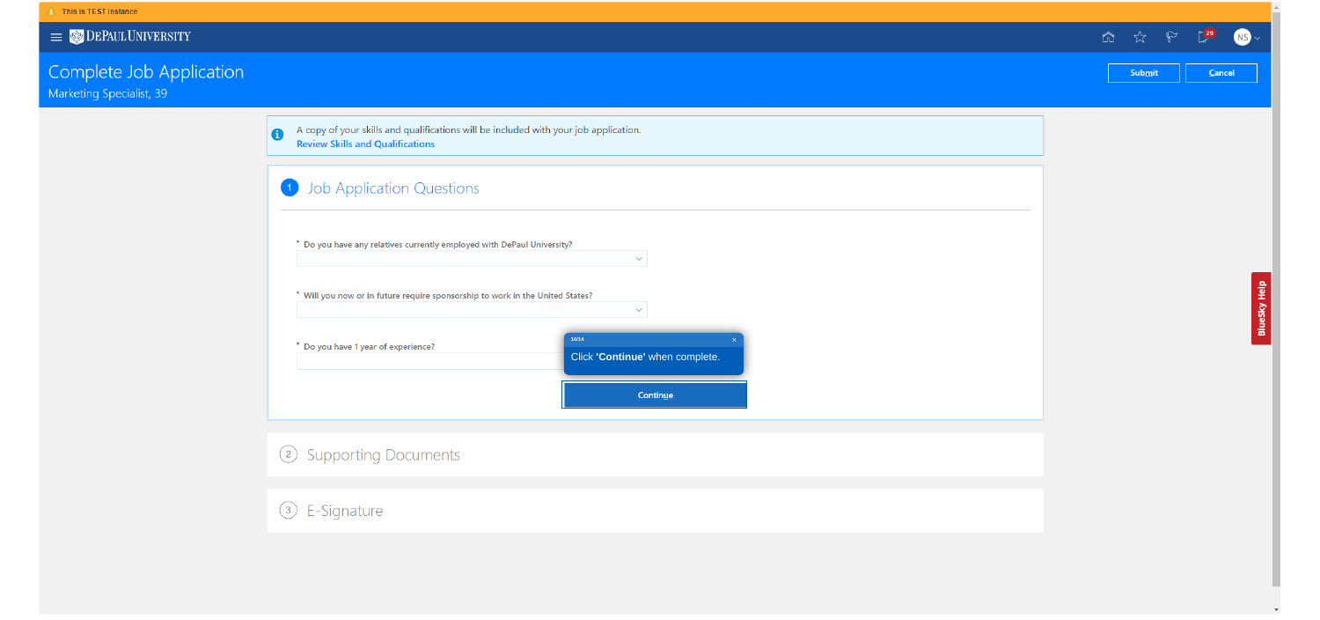

# Complete Job Application

Marketing Specialist, 39

A copy of your skills and qualifications will be included with your job applicat  $\bullet$ **Review Skills and Qualifications** 



2 Supporting Documents

|                                                  |  |        | 命 ☆ や 【29 | $\overline{\mathbf{C}}$ |
|--------------------------------------------------|--|--------|-----------|-------------------------|
|                                                  |  | Submit | Cancel    |                         |
|                                                  |  |        |           |                         |
| tion.                                            |  |        |           |                         |
|                                                  |  |        |           |                         |
|                                                  |  |        |           |                         |
|                                                  |  |        |           |                         |
| $\checkmark$                                     |  |        |           |                         |
|                                                  |  |        |           |                         |
| $\checkmark$                                     |  |        |           |                         |
| $\vert \mathsf{X} \vert$<br>inue' when complete. |  |        |           |                         |
|                                                  |  |        |           |                         |
| Continue                                         |  |        |           |                         |
|                                                  |  |        |           |                         |
|                                                  |  |        |           |                         |
|                                                  |  |        |           |                         |
|                                                  |  |        |           |                         |
|                                                  |  |        |           |                         |

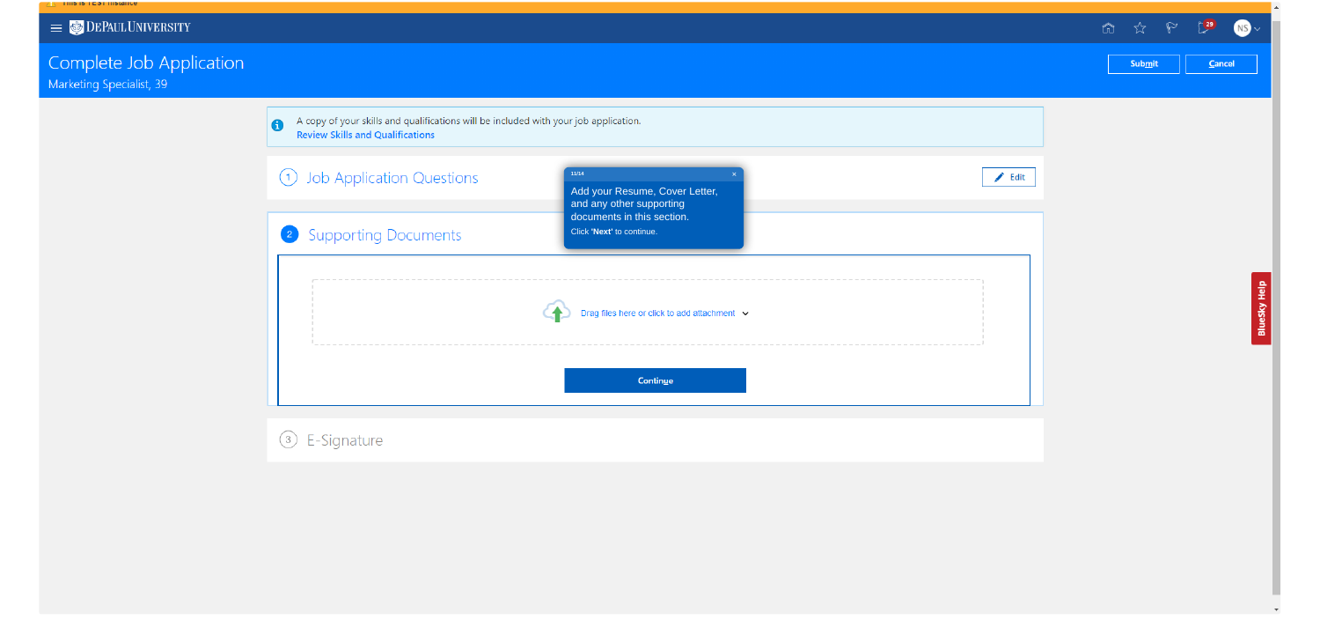# $\equiv$   $\bullet$  DEPAULUNIVERSITY

 $\overline{\phantom{a}}$  in this is the structure.

## Complete Job Application Marketing Specialist, 39

A copy of your skills and qualifications will be included with your job applicantle Review Skills and Qualifications  $\bullet$ 



|                                                               |  |                            |  | ◎ ☆    | $\mathbb{P}$ | $\sum_{i=1}^{n}$ |  |
|---------------------------------------------------------------|--|----------------------------|--|--------|--------------|------------------|--|
|                                                               |  |                            |  | Submit |              | Cancel           |  |
|                                                               |  |                            |  |        |              |                  |  |
| ation.                                                        |  |                            |  |        |              |                  |  |
|                                                               |  |                            |  |        |              |                  |  |
| $\mathsf{X}^{\scriptscriptstyle{+}}$<br>Resume, Cover Letter, |  | $\blacktriangleright$ Edit |  |        |              |                  |  |
| ther supporting<br>s in this section.                         |  |                            |  |        |              |                  |  |
| to continue.                                                  |  |                            |  |        |              |                  |  |
|                                                               |  |                            |  |        |              |                  |  |
| here or click to add attachment $\vee$                        |  |                            |  |        |              |                  |  |
|                                                               |  |                            |  |        |              |                  |  |
|                                                               |  |                            |  |        |              |                  |  |
| Continue                                                      |  |                            |  |        |              |                  |  |
|                                                               |  |                            |  |        |              |                  |  |
|                                                               |  |                            |  |        |              |                  |  |



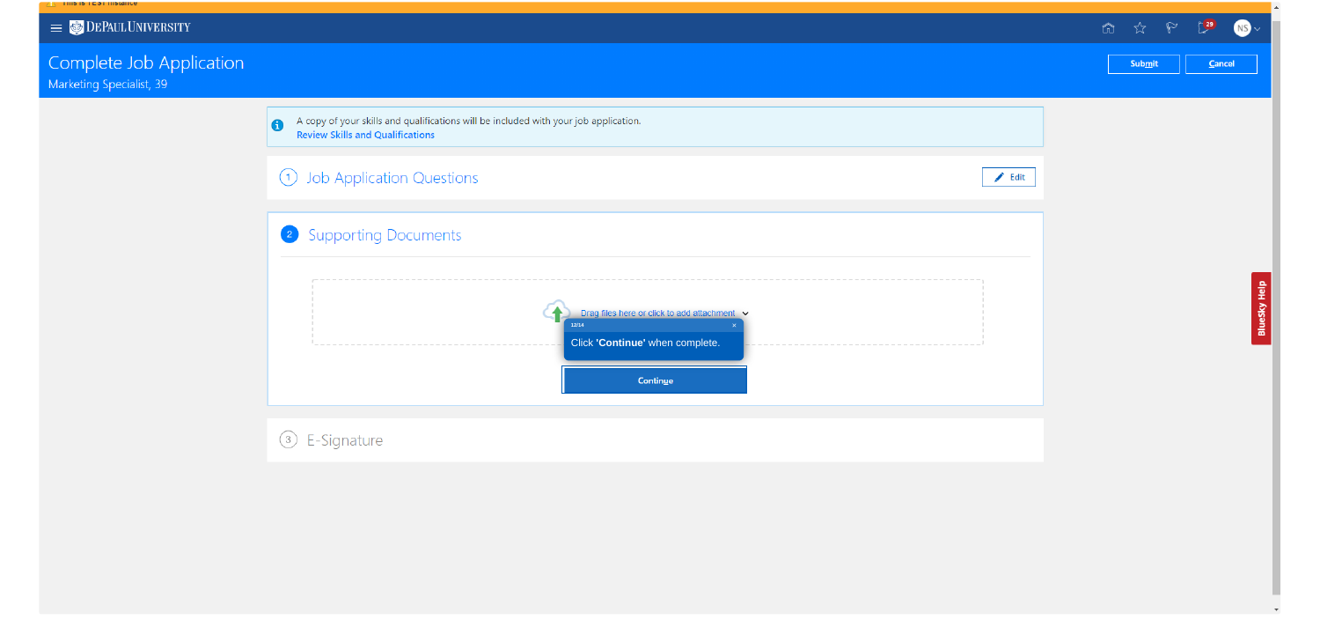# $\equiv$   $\bullet$  DEPAULUNIVERSITY

**THIS IS TEST INSTANCE** 

# Complete Job Application

Marketing Specialist, 39

A copy of your skills and qualifications will be included with your job applicat<br>Review Skills and Qualifications  $\bullet$ 

1 Job Application Questions

## <sup>2</sup> Supporting Documents



|                                   |  |                            |  | $\begin{matrix} \text{in} & \mathbb{R}^n \\ \text{in} & \mathbb{R}^n \end{matrix}$ | $\sum$ <sup>29</sup> |
|-----------------------------------|--|----------------------------|--|------------------------------------------------------------------------------------|----------------------|
|                                   |  |                            |  |                                                                                    |                      |
|                                   |  |                            |  |                                                                                    |                      |
|                                   |  |                            |  | Submit                                                                             | Cancel               |
|                                   |  |                            |  |                                                                                    |                      |
|                                   |  |                            |  |                                                                                    |                      |
| ation.                            |  |                            |  |                                                                                    |                      |
|                                   |  |                            |  |                                                                                    |                      |
|                                   |  |                            |  |                                                                                    |                      |
|                                   |  |                            |  |                                                                                    |                      |
|                                   |  | $\blacktriangleright$ Edit |  |                                                                                    |                      |
|                                   |  |                            |  |                                                                                    |                      |
|                                   |  |                            |  |                                                                                    |                      |
|                                   |  |                            |  |                                                                                    |                      |
|                                   |  |                            |  |                                                                                    |                      |
|                                   |  |                            |  |                                                                                    |                      |
|                                   |  |                            |  |                                                                                    |                      |
|                                   |  |                            |  |                                                                                    |                      |
| here or click to add attachment v |  |                            |  |                                                                                    |                      |
| ×.                                |  |                            |  |                                                                                    |                      |
| tinue' when complete.             |  |                            |  |                                                                                    |                      |
|                                   |  |                            |  |                                                                                    |                      |
| Continue                          |  |                            |  |                                                                                    |                      |
|                                   |  |                            |  |                                                                                    |                      |
|                                   |  |                            |  |                                                                                    |                      |
|                                   |  |                            |  |                                                                                    |                      |
|                                   |  |                            |  |                                                                                    |                      |



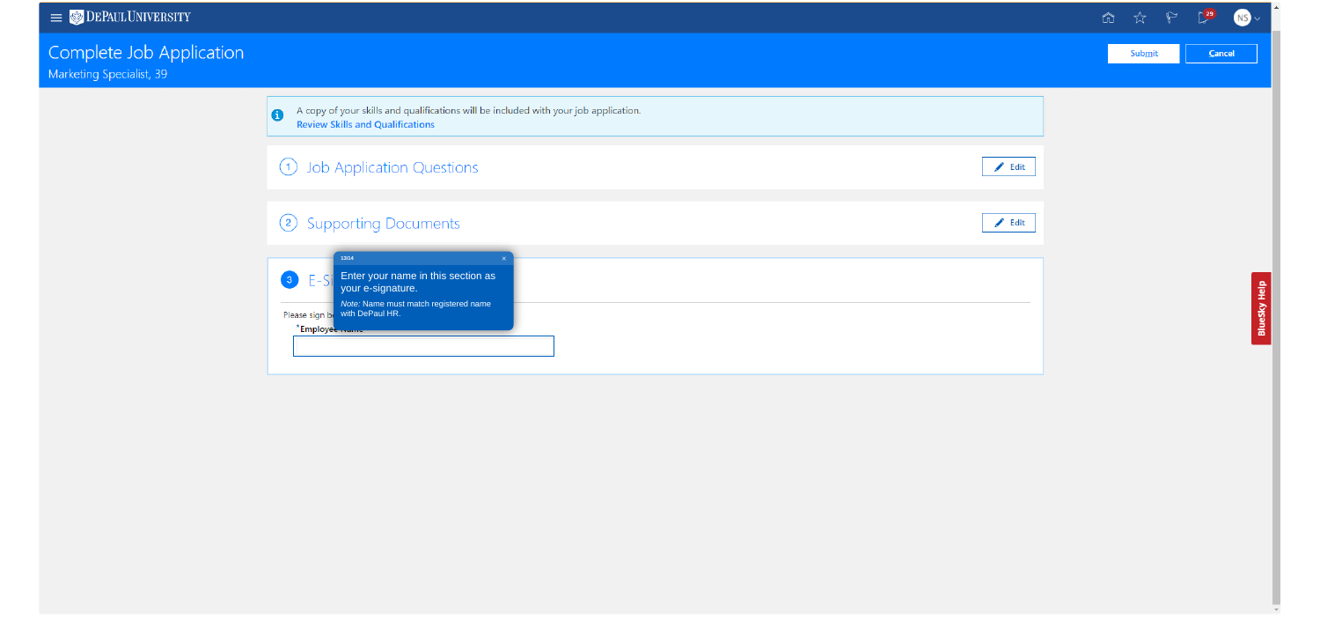# Complete Job Application

Marketing Specialist, 39

A copy of your skills and qualifications will be included with your job applica<br>Review Skills and Qualifications  $\bullet$ 

1 Job Application Questions

## 2 Supporting Documents



|                            | <b>面 ☆ P 【29</b> 】 |        | r |
|----------------------------|--------------------|--------|---|
|                            | <b>Submit</b>      | Cancel |   |
| ation.                     |                    |        |   |
| $\blacktriangleright$ Edit |                    |        |   |
| $\blacktriangleright$ Edit |                    |        |   |
|                            |                    |        |   |
|                            |                    |        |   |
|                            |                    |        |   |



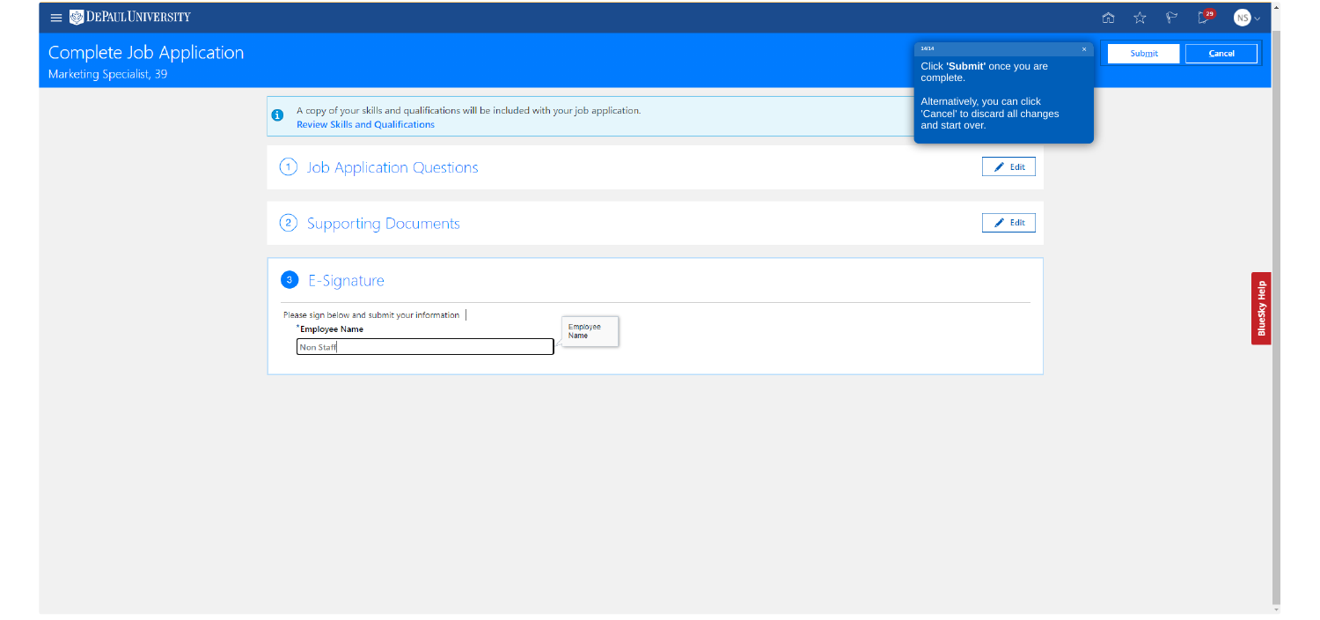# Complete Job Application

Marketing Specialist, 39

A copy of your skills and qualifications will be included with your job application.<br>Review Skills and Qualifications  $\bullet$ 

1 Job Application Questions

2 Supporting Documents

<sup>3</sup> E-Signature

| Please sign below and submit your information |                  |
|-----------------------------------------------|------------------|
| *Employee Name                                | Employee<br>Name |
| <b>Non Staff</b>                              |                  |